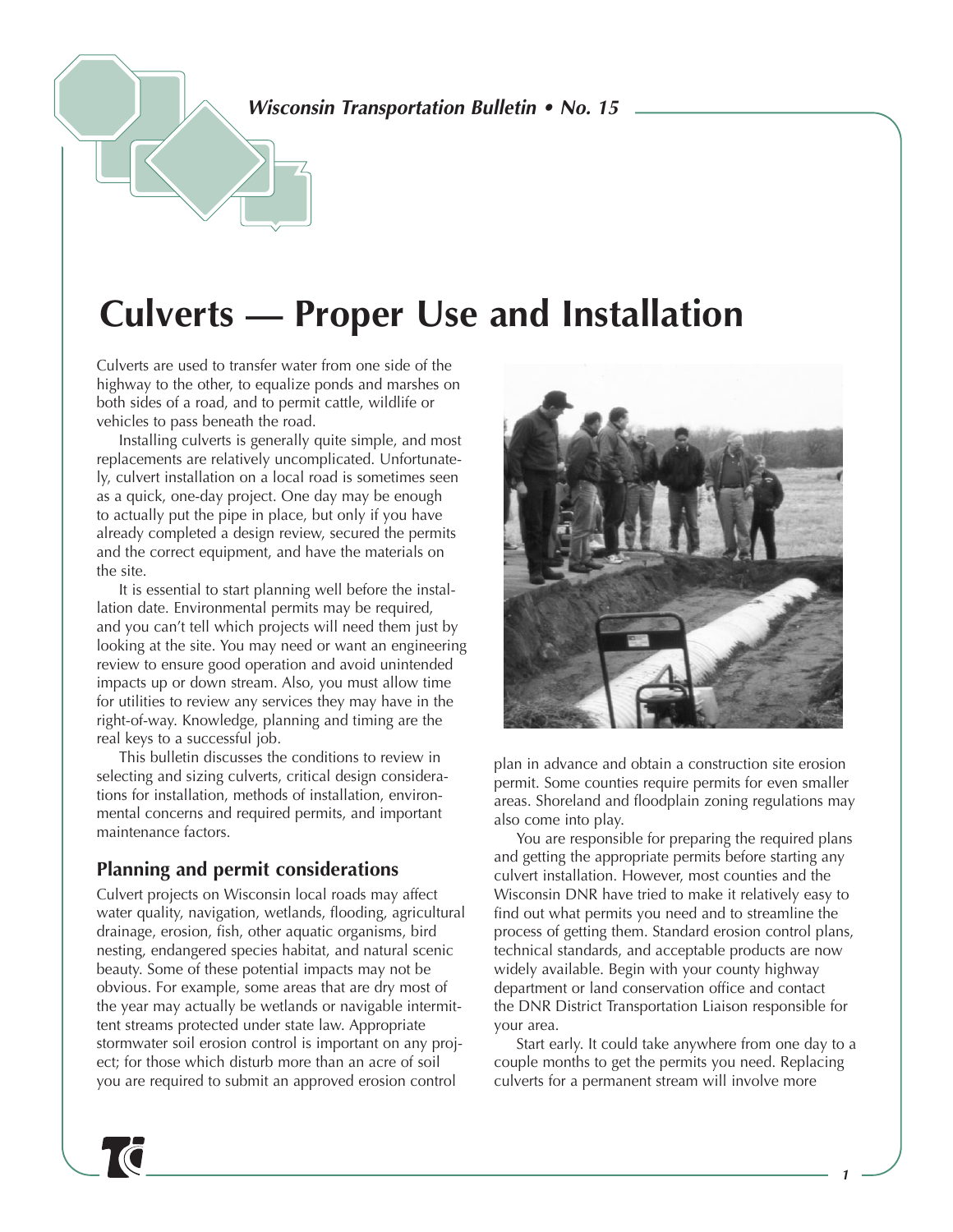*Wisconsin Transportation Bulletin • No. 15*

# **Culverts — Proper Use and Installation**

Culverts are used to transfer water from one side of the highway to the other, to equalize ponds and marshes on both sides of a road, and to permit cattle, wildlife or vehicles to pass beneath the road.

Installing culverts is generally quite simple, and most replacements are relatively uncomplicated. Unfortunately, culvert installation on a local road is sometimes seen as a quick, one-day project. One day may be enough to actually put the pipe in place, but only if you have already completed a design review, secured the permits and the correct equipment, and have the materials on the site.

It is essential to start planning well before the installation date. Environmental permits may be required, and you can't tell which projects will need them just by looking at the site. You may need or want an engineering review to ensure good operation and avoid unintended impacts up or down stream. Also, you must allow time for utilities to review any services they may have in the right-of-way. Knowledge, planning and timing are the real keys to a successful job.

This bulletin discusses the conditions to review in selecting and sizing culverts, critical design considerations for installation, methods of installation, environmental concerns and required permits, and important maintenance factors.

#### **Planning and permit considerations**

Culvert projects on Wisconsin local roads may affect water quality, navigation, wetlands, flooding, agricultural drainage, erosion, fish, other aquatic organisms, bird nesting, endangered species habitat, and natural scenic beauty. Some of these potential impacts may not be obvious. For example, some areas that are dry most of the year may actually be wetlands or navigable intermittent streams protected under state law. Appropriate stormwater soil erosion control is important on any project; for those which disturb more than an acre of soil you are required to submit an approved erosion control



plan in advance and obtain a construction site erosion permit. Some counties require permits for even smaller areas. Shoreland and floodplain zoning regulations may also come into play.

You are responsible for preparing the required plans and getting the appropriate permits before starting any culvert installation. However, most counties and the Wisconsin DNR have tried to make it relatively easy to find out what permits you need and to streamline the process of getting them. Standard erosion control plans, technical standards, and acceptable products are now widely available. Begin with your county highway department or land conservation office and contact the DNR District Transportation Liaison responsible for your area.

Start early. It could take anywhere from one day to a couple months to get the permits you need. Replacing culverts for a permanent stream will involve more

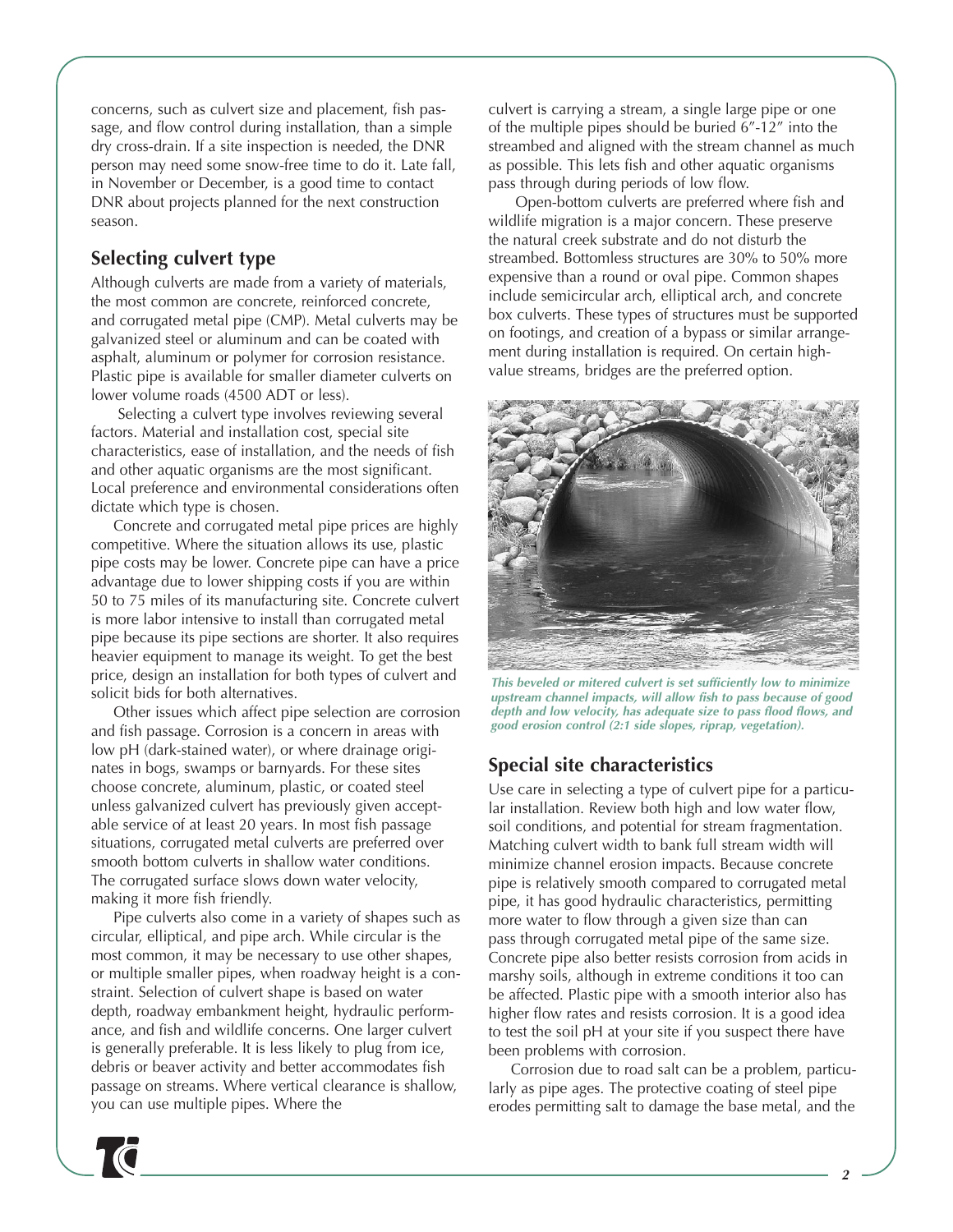concerns, such as culvert size and placement, fish passage, and flow control during installation, than a simple dry cross-drain. If a site inspection is needed, the DNR person may need some snow-free time to do it. Late fall, in November or December, is a good time to contact DNR about projects planned for the next construction season.

### **Selecting culvert type**

Although culverts are made from a variety of materials, the most common are concrete, reinforced concrete, and corrugated metal pipe (CMP). Metal culverts may be galvanized steel or aluminum and can be coated with asphalt, aluminum or polymer for corrosion resistance. Plastic pipe is available for smaller diameter culverts on lower volume roads (4500 ADT or less).

Selecting a culvert type involves reviewing several factors. Material and installation cost, special site characteristics, ease of installation, and the needs of fish and other aquatic organisms are the most significant. Local preference and environmental considerations often dictate which type is chosen.

Concrete and corrugated metal pipe prices are highly competitive. Where the situation allows its use, plastic pipe costs may be lower. Concrete pipe can have a price advantage due to lower shipping costs if you are within 50 to 75 miles of its manufacturing site. Concrete culvert is more labor intensive to install than corrugated metal pipe because its pipe sections are shorter. It also requires heavier equipment to manage its weight. To get the best price, design an installation for both types of culvert and solicit bids for both alternatives.

Other issues which affect pipe selection are corrosion and fish passage. Corrosion is a concern in areas with low pH (dark-stained water), or where drainage originates in bogs, swamps or barnyards. For these sites choose concrete, aluminum, plastic, or coated steel unless galvanized culvert has previously given acceptable service of at least 20 years. In most fish passage situations, corrugated metal culverts are preferred over smooth bottom culverts in shallow water conditions. The corrugated surface slows down water velocity, making it more fish friendly.

Pipe culverts also come in a variety of shapes such as circular, elliptical, and pipe arch. While circular is the most common, it may be necessary to use other shapes, or multiple smaller pipes, when roadway height is a constraint. Selection of culvert shape is based on water depth, roadway embankment height, hydraulic performance, and fish and wildlife concerns. One larger culvert is generally preferable. It is less likely to plug from ice, debris or beaver activity and better accommodates fish passage on streams. Where vertical clearance is shallow, you can use multiple pipes. Where the

culvert is carrying a stream, a single large pipe or one of the multiple pipes should be buried 6"-12" into the streambed and aligned with the stream channel as much as possible. This lets fish and other aquatic organisms pass through during periods of low flow.

Open-bottom culverts are preferred where fish and wildlife migration is a major concern. These preserve the natural creek substrate and do not disturb the streambed. Bottomless structures are 30% to 50% more expensive than a round or oval pipe. Common shapes include semicircular arch, elliptical arch, and concrete box culverts. These types of structures must be supported on footings, and creation of a bypass or similar arrangement during installation is required. On certain highvalue streams, bridges are the preferred option.



*This beveled or mitered culvert is set sufficiently low to minimize upstream channel impacts, will allow fish to pass because of good depth and low velocity, has adequate size to pass flood flows, and good erosion control (2:1 side slopes, riprap, vegetation).* 

# **Special site characteristics**

Use care in selecting a type of culvert pipe for a particular installation. Review both high and low water flow, soil conditions, and potential for stream fragmentation. Matching culvert width to bank full stream width will minimize channel erosion impacts. Because concrete pipe is relatively smooth compared to corrugated metal pipe, it has good hydraulic characteristics, permitting more water to flow through a given size than can pass through corrugated metal pipe of the same size. Concrete pipe also better resists corrosion from acids in marshy soils, although in extreme conditions it too can be affected. Plastic pipe with a smooth interior also has higher flow rates and resists corrosion. It is a good idea to test the soil pH at your site if you suspect there have been problems with corrosion.

Corrosion due to road salt can be a problem, particularly as pipe ages. The protective coating of steel pipe erodes permitting salt to damage the base metal, and the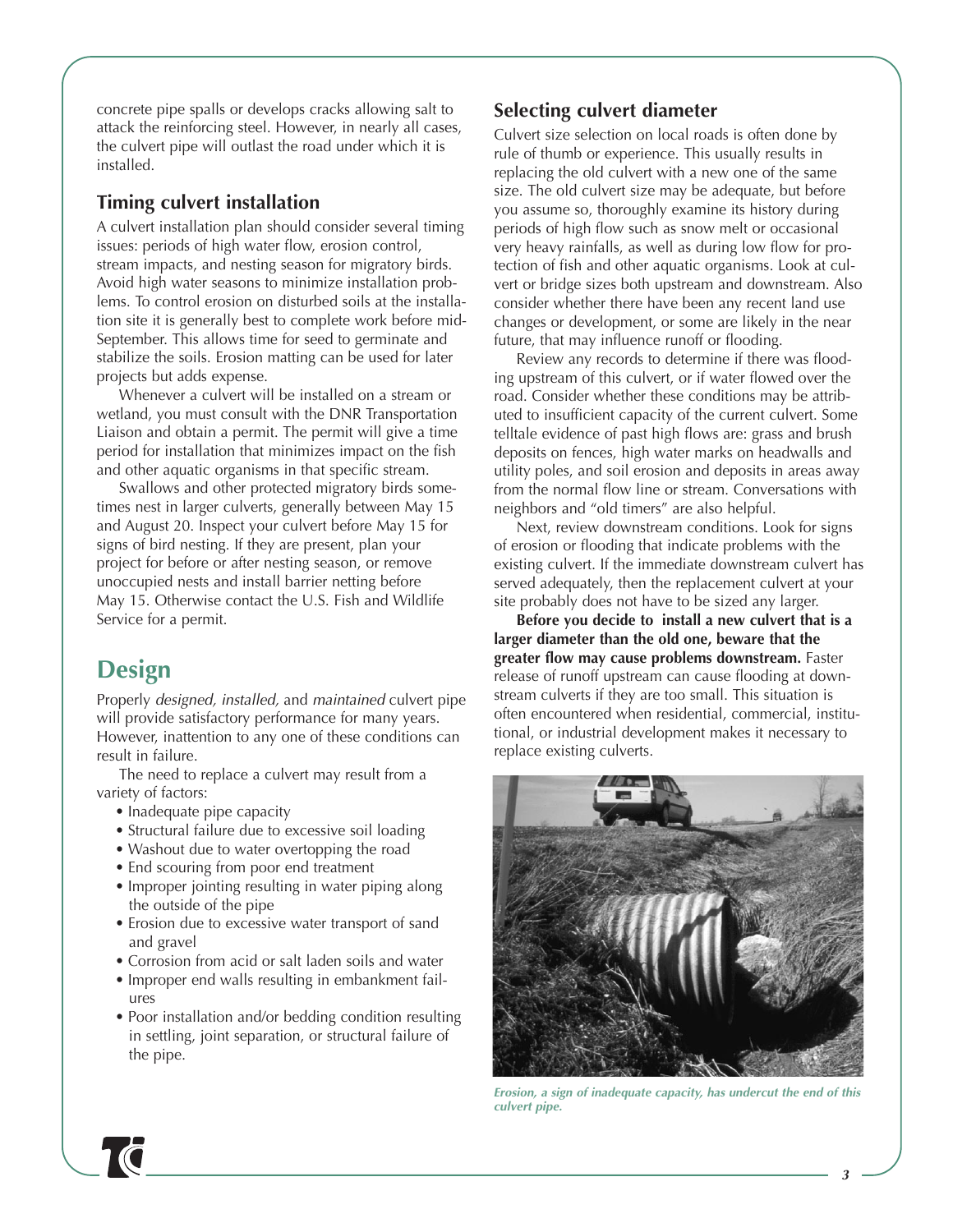concrete pipe spalls or develops cracks allowing salt to attack the reinforcing steel. However, in nearly all cases, the culvert pipe will outlast the road under which it is installed.

#### **Timing culvert installation**

A culvert installation plan should consider several timing issues: periods of high water flow, erosion control, stream impacts, and nesting season for migratory birds. Avoid high water seasons to minimize installation problems. To control erosion on disturbed soils at the installation site it is generally best to complete work before mid-September. This allows time for seed to germinate and stabilize the soils. Erosion matting can be used for later projects but adds expense.

Whenever a culvert will be installed on a stream or wetland, you must consult with the DNR Transportation Liaison and obtain a permit. The permit will give a time period for installation that minimizes impact on the fish and other aquatic organisms in that specific stream.

Swallows and other protected migratory birds sometimes nest in larger culverts, generally between May 15 and August 20. Inspect your culvert before May 15 for signs of bird nesting. If they are present, plan your project for before or after nesting season, or remove unoccupied nests and install barrier netting before May 15. Otherwise contact the U.S. Fish and Wildlife Service for a permit.

# **Design**

Properly *designed, installed,* and *maintained* culvert pipe will provide satisfactory performance for many years. However, inattention to any one of these conditions can result in failure.

The need to replace a culvert may result from a variety of factors:

- Inadequate pipe capacity
- Structural failure due to excessive soil loading
- Washout due to water overtopping the road
- End scouring from poor end treatment
- Improper jointing resulting in water piping along the outside of the pipe
- Erosion due to excessive water transport of sand and gravel
- Corrosion from acid or salt laden soils and water
- Improper end walls resulting in embankment failures
- Poor installation and/or bedding condition resulting in settling, joint separation, or structural failure of the pipe.

### **Selecting culvert diameter**

Culvert size selection on local roads is often done by rule of thumb or experience. This usually results in replacing the old culvert with a new one of the same size. The old culvert size may be adequate, but before you assume so, thoroughly examine its history during periods of high flow such as snow melt or occasional very heavy rainfalls, as well as during low flow for protection of fish and other aquatic organisms. Look at culvert or bridge sizes both upstream and downstream. Also consider whether there have been any recent land use changes or development, or some are likely in the near future, that may influence runoff or flooding.

Review any records to determine if there was flooding upstream of this culvert, or if water flowed over the road. Consider whether these conditions may be attributed to insufficient capacity of the current culvert. Some telltale evidence of past high flows are: grass and brush deposits on fences, high water marks on headwalls and utility poles, and soil erosion and deposits in areas away from the normal flow line or stream. Conversations with neighbors and "old timers" are also helpful.

Next, review downstream conditions. Look for signs of erosion or flooding that indicate problems with the existing culvert. If the immediate downstream culvert has served adequately, then the replacement culvert at your site probably does not have to be sized any larger.

**Before you decide to install a new culvert that is a larger diameter than the old one, beware that the greater flow may cause problems downstream.** Faster release of runoff upstream can cause flooding at downstream culverts if they are too small. This situation is often encountered when residential, commercial, institutional, or industrial development makes it necessary to replace existing culverts.



*Erosion, a sign of inadequate capacity, has undercut the end of this culvert pipe.*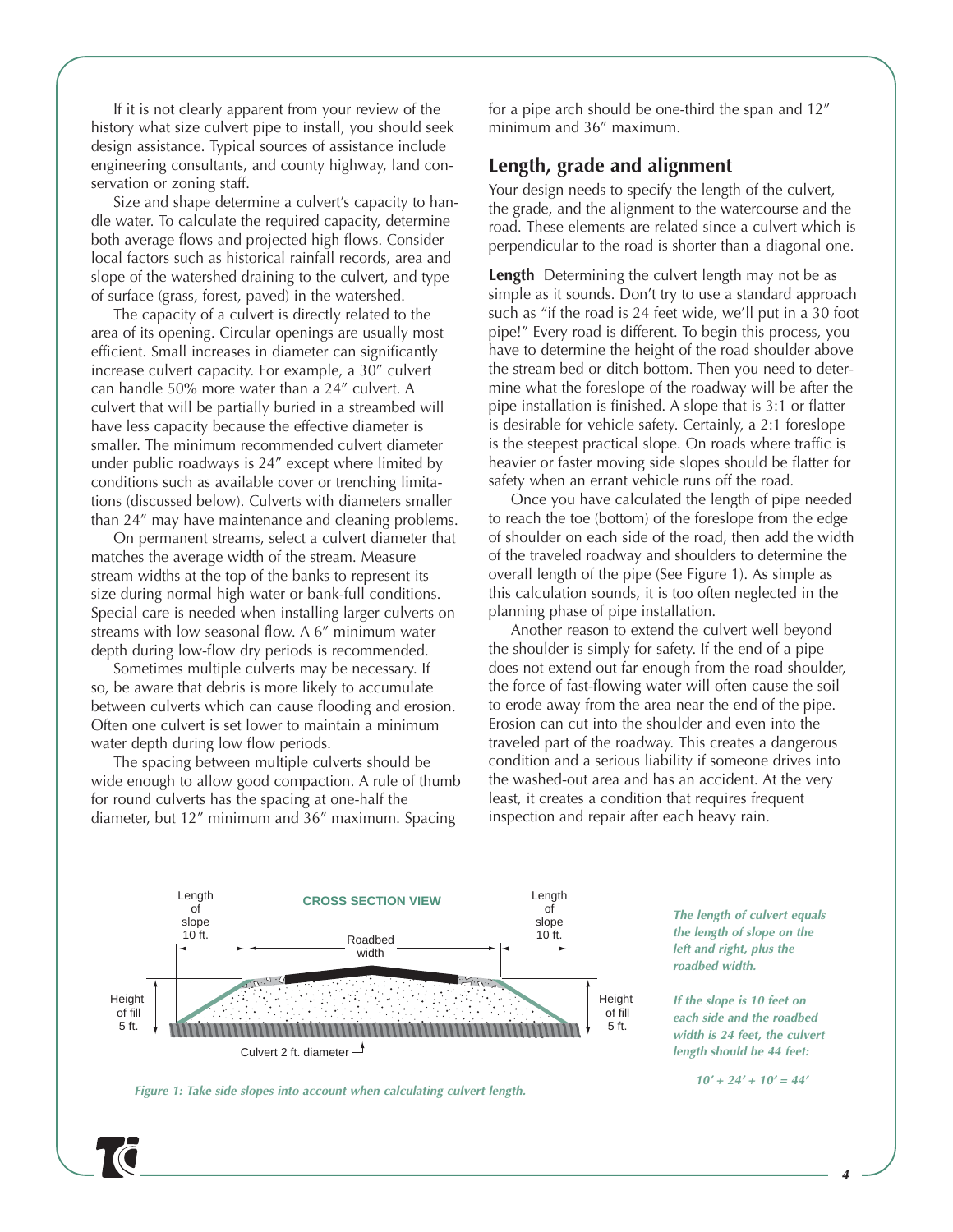If it is not clearly apparent from your review of the history what size culvert pipe to install, you should seek design assistance. Typical sources of assistance include engineering consultants, and county highway, land conservation or zoning staff.

Size and shape determine a culvert's capacity to handle water. To calculate the required capacity, determine both average flows and projected high flows. Consider local factors such as historical rainfall records, area and slope of the watershed draining to the culvert, and type of surface (grass, forest, paved) in the watershed.

The capacity of a culvert is directly related to the area of its opening. Circular openings are usually most efficient. Small increases in diameter can significantly increase culvert capacity. For example, a 30" culvert can handle 50% more water than a 24" culvert. A culvert that will be partially buried in a streambed will have less capacity because the effective diameter is smaller. The minimum recommended culvert diameter under public roadways is 24" except where limited by conditions such as available cover or trenching limitations (discussed below). Culverts with diameters smaller than 24" may have maintenance and cleaning problems.

On permanent streams, select a culvert diameter that matches the average width of the stream. Measure stream widths at the top of the banks to represent its size during normal high water or bank-full conditions. Special care is needed when installing larger culverts on streams with low seasonal flow. A 6" minimum water depth during low-flow dry periods is recommended.

Sometimes multiple culverts may be necessary. If so, be aware that debris is more likely to accumulate between culverts which can cause flooding and erosion. Often one culvert is set lower to maintain a minimum water depth during low flow periods.

The spacing between multiple culverts should be wide enough to allow good compaction. A rule of thumb for round culverts has the spacing at one-half the diameter, but 12" minimum and 36" maximum. Spacing

for a pipe arch should be one-third the span and 12" minimum and 36" maximum.

### **Length, grade and alignment**

Your design needs to specify the length of the culvert, the grade, and the alignment to the watercourse and the road. These elements are related since a culvert which is perpendicular to the road is shorter than a diagonal one.

**Length** Determining the culvert length may not be as simple as it sounds. Don't try to use a standard approach such as "if the road is 24 feet wide, we'll put in a 30 foot pipe!" Every road is different. To begin this process, you have to determine the height of the road shoulder above the stream bed or ditch bottom. Then you need to determine what the foreslope of the roadway will be after the pipe installation is finished. A slope that is 3:1 or flatter is desirable for vehicle safety. Certainly, a 2:1 foreslope is the steepest practical slope. On roads where traffic is heavier or faster moving side slopes should be flatter for safety when an errant vehicle runs off the road.

Once you have calculated the length of pipe needed to reach the toe (bottom) of the foreslope from the edge of shoulder on each side of the road, then add the width of the traveled roadway and shoulders to determine the overall length of the pipe (See Figure 1). As simple as this calculation sounds, it is too often neglected in the planning phase of pipe installation.

Another reason to extend the culvert well beyond the shoulder is simply for safety. If the end of a pipe does not extend out far enough from the road shoulder, the force of fast-flowing water will often cause the soil to erode away from the area near the end of the pipe. Erosion can cut into the shoulder and even into the traveled part of the roadway. This creates a dangerous condition and a serious liability if someone drives into the washed-out area and has an accident. At the very least, it creates a condition that requires frequent inspection and repair after each heavy rain.



*The length of culvert equals the length of slope on the left and right, plus the roadbed width.* 

*If the slope is 10 feet on each side and the roadbed width is 24 feet, the culvert length should be 44 feet:*

*10' + 24' + 10' = 44'*

*Figure 1: Take side slopes into account when calculating culvert length.*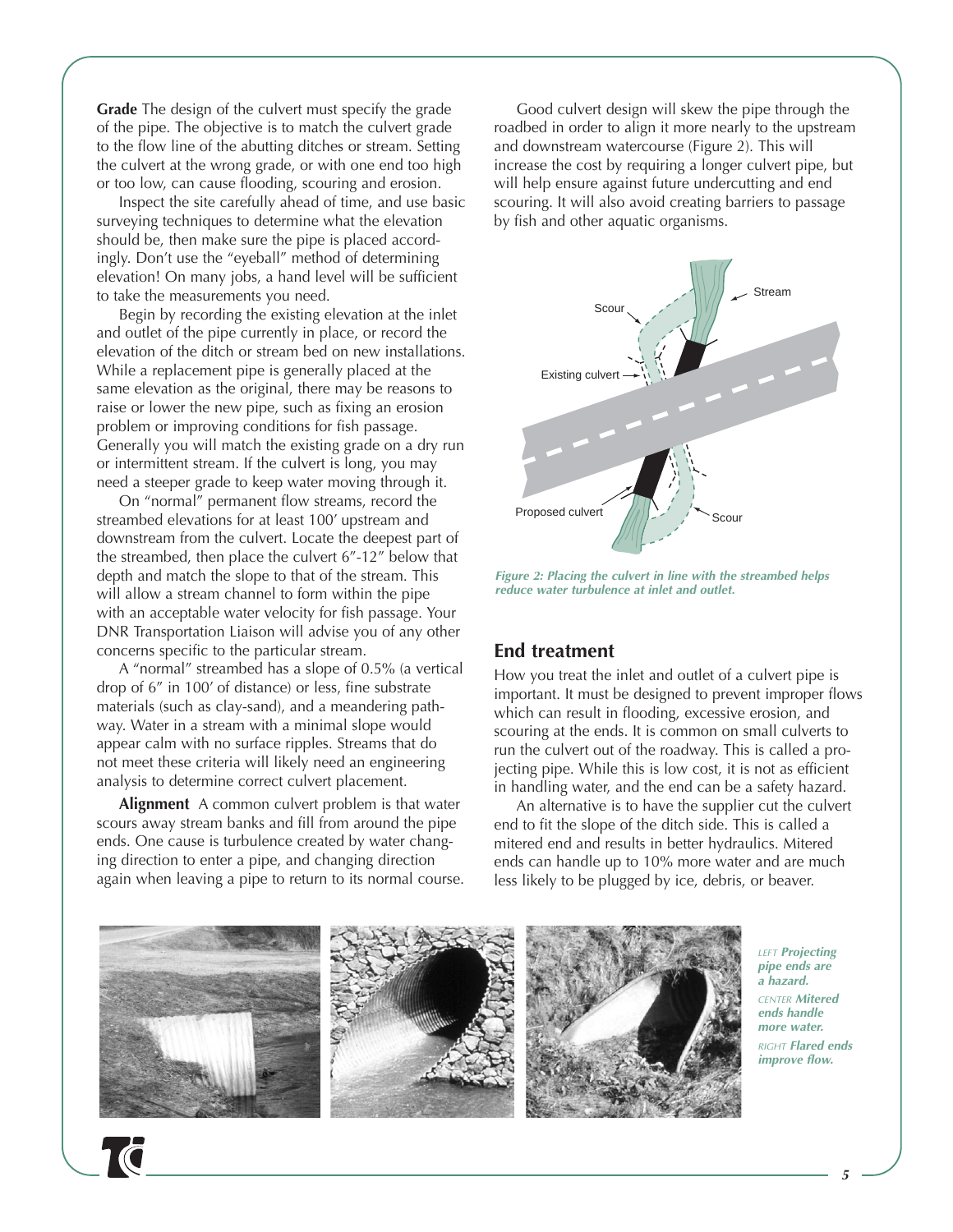**Grade** The design of the culvert must specify the grade of the pipe. The objective is to match the culvert grade to the flow line of the abutting ditches or stream. Setting the culvert at the wrong grade, or with one end too high or too low, can cause flooding, scouring and erosion.

Inspect the site carefully ahead of time, and use basic surveying techniques to determine what the elevation should be, then make sure the pipe is placed accordingly. Don't use the "eyeball" method of determining elevation! On many jobs, a hand level will be sufficient to take the measurements you need.

Begin by recording the existing elevation at the inlet and outlet of the pipe currently in place, or record the elevation of the ditch or stream bed on new installations. While a replacement pipe is generally placed at the same elevation as the original, there may be reasons to raise or lower the new pipe, such as fixing an erosion problem or improving conditions for fish passage. Generally you will match the existing grade on a dry run or intermittent stream. If the culvert is long, you may need a steeper grade to keep water moving through it.

On "normal" permanent flow streams, record the streambed elevations for at least 100' upstream and downstream from the culvert. Locate the deepest part of the streambed, then place the culvert 6"-12" below that depth and match the slope to that of the stream. This will allow a stream channel to form within the pipe with an acceptable water velocity for fish passage. Your DNR Transportation Liaison will advise you of any other concerns specific to the particular stream.

A "normal" streambed has a slope of 0.5% (a vertical drop of 6" in 100' of distance) or less, fine substrate materials (such as clay-sand), and a meandering pathway. Water in a stream with a minimal slope would appear calm with no surface ripples. Streams that do not meet these criteria will likely need an engineering analysis to determine correct culvert placement.

**Alignment** A common culvert problem is that water scours away stream banks and fill from around the pipe ends. One cause is turbulence created by water changing direction to enter a pipe, and changing direction again when leaving a pipe to return to its normal course.

Good culvert design will skew the pipe through the roadbed in order to align it more nearly to the upstream and downstream watercourse (Figure 2). This will increase the cost by requiring a longer culvert pipe, but will help ensure against future undercutting and end scouring. It will also avoid creating barriers to passage by fish and other aquatic organisms.



*Figure 2: Placing the culvert in line with the streambed helps reduce water turbulence at inlet and outlet.*

#### **End treatment**

How you treat the inlet and outlet of a culvert pipe is important. It must be designed to prevent improper flows which can result in flooding, excessive erosion, and scouring at the ends. It is common on small culverts to run the culvert out of the roadway. This is called a projecting pipe. While this is low cost, it is not as efficient in handling water, and the end can be a safety hazard.

An alternative is to have the supplier cut the culvert end to fit the slope of the ditch side. This is called a mitered end and results in better hydraulics. Mitered ends can handle up to 10% more water and are much less likely to be plugged by ice, debris, or beaver.



*LEFT Projecting pipe ends are a hazard. CENTER Mitered ends handle more water. RIGHT Flared ends improve flow.*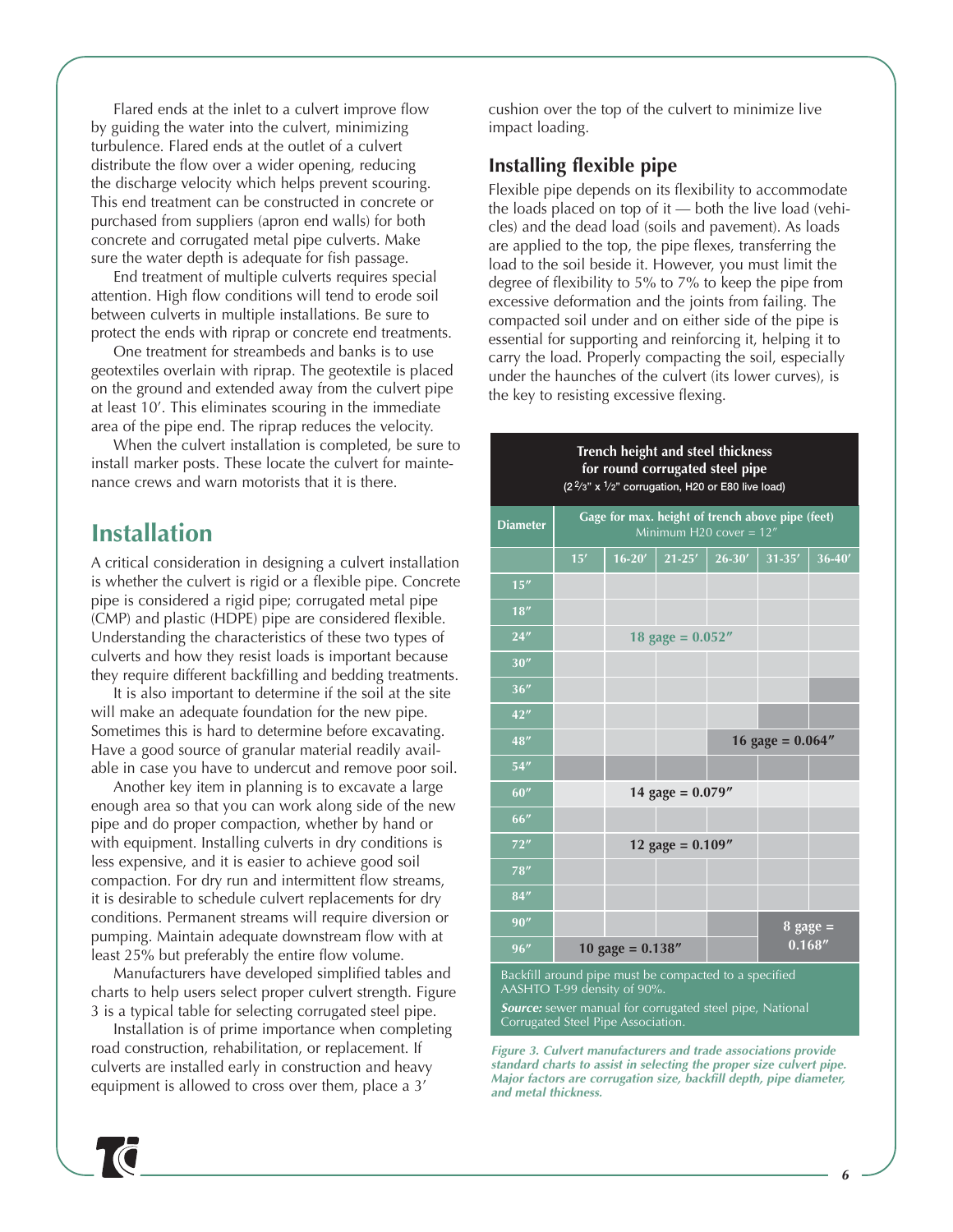Flared ends at the inlet to a culvert improve flow by guiding the water into the culvert, minimizing turbulence. Flared ends at the outlet of a culvert distribute the flow over a wider opening, reducing the discharge velocity which helps prevent scouring. This end treatment can be constructed in concrete or purchased from suppliers (apron end walls) for both concrete and corrugated metal pipe culverts. Make sure the water depth is adequate for fish passage.

End treatment of multiple culverts requires special attention. High flow conditions will tend to erode soil between culverts in multiple installations. Be sure to protect the ends with riprap or concrete end treatments.

One treatment for streambeds and banks is to use geotextiles overlain with riprap. The geotextile is placed on the ground and extended away from the culvert pipe at least 10'. This eliminates scouring in the immediate area of the pipe end. The riprap reduces the velocity.

When the culvert installation is completed, be sure to install marker posts. These locate the culvert for maintenance crews and warn motorists that it is there.

# **Installation**

A critical consideration in designing a culvert installation is whether the culvert is rigid or a flexible pipe. Concrete pipe is considered a rigid pipe; corrugated metal pipe (CMP) and plastic (HDPE) pipe are considered flexible. Understanding the characteristics of these two types of culverts and how they resist loads is important because they require different backfilling and bedding treatments.

It is also important to determine if the soil at the site will make an adequate foundation for the new pipe. Sometimes this is hard to determine before excavating. Have a good source of granular material readily available in case you have to undercut and remove poor soil.

Another key item in planning is to excavate a large enough area so that you can work along side of the new pipe and do proper compaction, whether by hand or with equipment. Installing culverts in dry conditions is less expensive, and it is easier to achieve good soil compaction. For dry run and intermittent flow streams, it is desirable to schedule culvert replacements for dry conditions. Permanent streams will require diversion or pumping. Maintain adequate downstream flow with at least 25% but preferably the entire flow volume.

Manufacturers have developed simplified tables and charts to help users select proper culvert strength. Figure 3 is a typical table for selecting corrugated steel pipe.

Installation is of prime importance when completing road construction, rehabilitation, or replacement. If culverts are installed early in construction and heavy equipment is allowed to cross over them, place a 3'

cushion over the top of the culvert to minimize live impact loading.

## **Installing flexible pipe**

Flexible pipe depends on its flexibility to accommodate the loads placed on top of it — both the live load (vehicles) and the dead load (soils and pavement). As loads are applied to the top, the pipe flexes, transferring the load to the soil beside it. However, you must limit the degree of flexibility to 5% to 7% to keep the pipe from excessive deformation and the joints from failing. The compacted soil under and on either side of the pipe is essential for supporting and reinforcing it, helping it to carry the load. Properly compacting the soil, especially under the haunches of the culvert (its lower curves), is the key to resisting excessive flexing.

> **Trench height and steel thickness for round corrugated steel pipe**

# **Diameter Gage for max. height of trench above pipe (feet) 15' 16-20' 21-25' 26-30' 31-35' 36-40' 18" 24" 18 gage = 0.052" 30" 36" 42" 48" 16 gage = 0.064" 54" 60" 14 gage = 0.079" 66" 72" 12 gage = 0.109" 78" 84" 90" 8 gage = 96" 10 gage = 0.138" 0.168"** Backfill around pipe must be compacted to a specified **(2 2⁄ 3" x 1⁄ 2" corrugation, H20 or E80 live load)**

AASHTO T-99 density of 90%.

*Source:* sewer manual for corrugated steel pipe, National Corrugated Steel Pipe Association.

*Figure 3. Culvert manufacturers and trade associations provide standard charts to assist in selecting the proper size culvert pipe. Major factors are corrugation size, backfill depth, pipe diameter, and metal thickness.*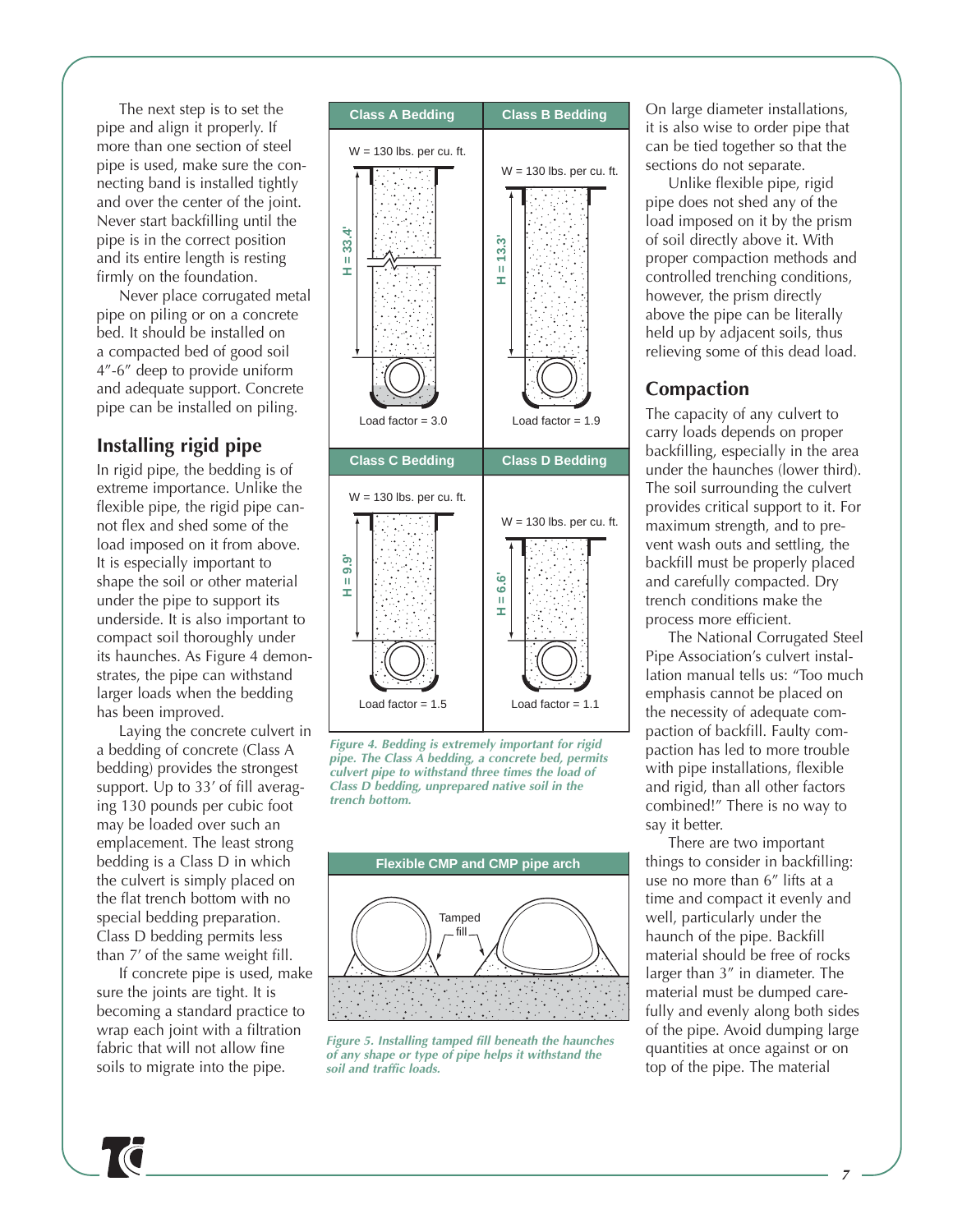The next step is to set the pipe and align it properly. If more than one section of steel pipe is used, make sure the connecting band is installed tightly and over the center of the joint. Never start backfilling until the pipe is in the correct position and its entire length is resting firmly on the foundation.

Never place corrugated metal pipe on piling or on a concrete bed. It should be installed on a compacted bed of good soil 4"-6" deep to provide uniform and adequate support. Concrete pipe can be installed on piling.

# **Installing rigid pipe**

In rigid pipe, the bedding is of extreme importance. Unlike the flexible pipe, the rigid pipe cannot flex and shed some of the load imposed on it from above. It is especially important to shape the soil or other material under the pipe to support its underside. It is also important to compact soil thoroughly under its haunches. As Figure 4 demonstrates, the pipe can withstand larger loads when the bedding has been improved.

Laying the concrete culvert in a bedding of concrete (Class A bedding) provides the strongest support. Up to 33' of fill averaging 130 pounds per cubic foot may be loaded over such an emplacement. The least strong bedding is a Class D in which the culvert is simply placed on the flat trench bottom with no special bedding preparation. Class D bedding permits less than 7' of the same weight fill.

If concrete pipe is used, make sure the joints are tight. It is becoming a standard practice to wrap each joint with a filtration fabric that will not allow fine soils to migrate into the pipe.







*Figure 5. Installing tamped fill beneath the haunches of any shape or type of pipe helps it withstand the soil and traffic loads.*

On large diameter installations, it is also wise to order pipe that can be tied together so that the sections do not separate.

Unlike flexible pipe, rigid pipe does not shed any of the load imposed on it by the prism of soil directly above it. With proper compaction methods and controlled trenching conditions, however, the prism directly above the pipe can be literally held up by adjacent soils, thus relieving some of this dead load.

# **Compaction**

The capacity of any culvert to carry loads depends on proper backfilling, especially in the area under the haunches (lower third). The soil surrounding the culvert provides critical support to it. For maximum strength, and to prevent wash outs and settling, the backfill must be properly placed and carefully compacted. Dry trench conditions make the process more efficient.

The National Corrugated Steel Pipe Association's culvert installation manual tells us: "Too much emphasis cannot be placed on the necessity of adequate compaction of backfill. Faulty compaction has led to more trouble with pipe installations, flexible and rigid, than all other factors combined!" There is no way to say it better.

There are two important things to consider in backfilling: use no more than 6" lifts at a time and compact it evenly and well, particularly under the haunch of the pipe. Backfill material should be free of rocks larger than 3" in diameter. The material must be dumped carefully and evenly along both sides of the pipe. Avoid dumping large quantities at once against or on top of the pipe. The material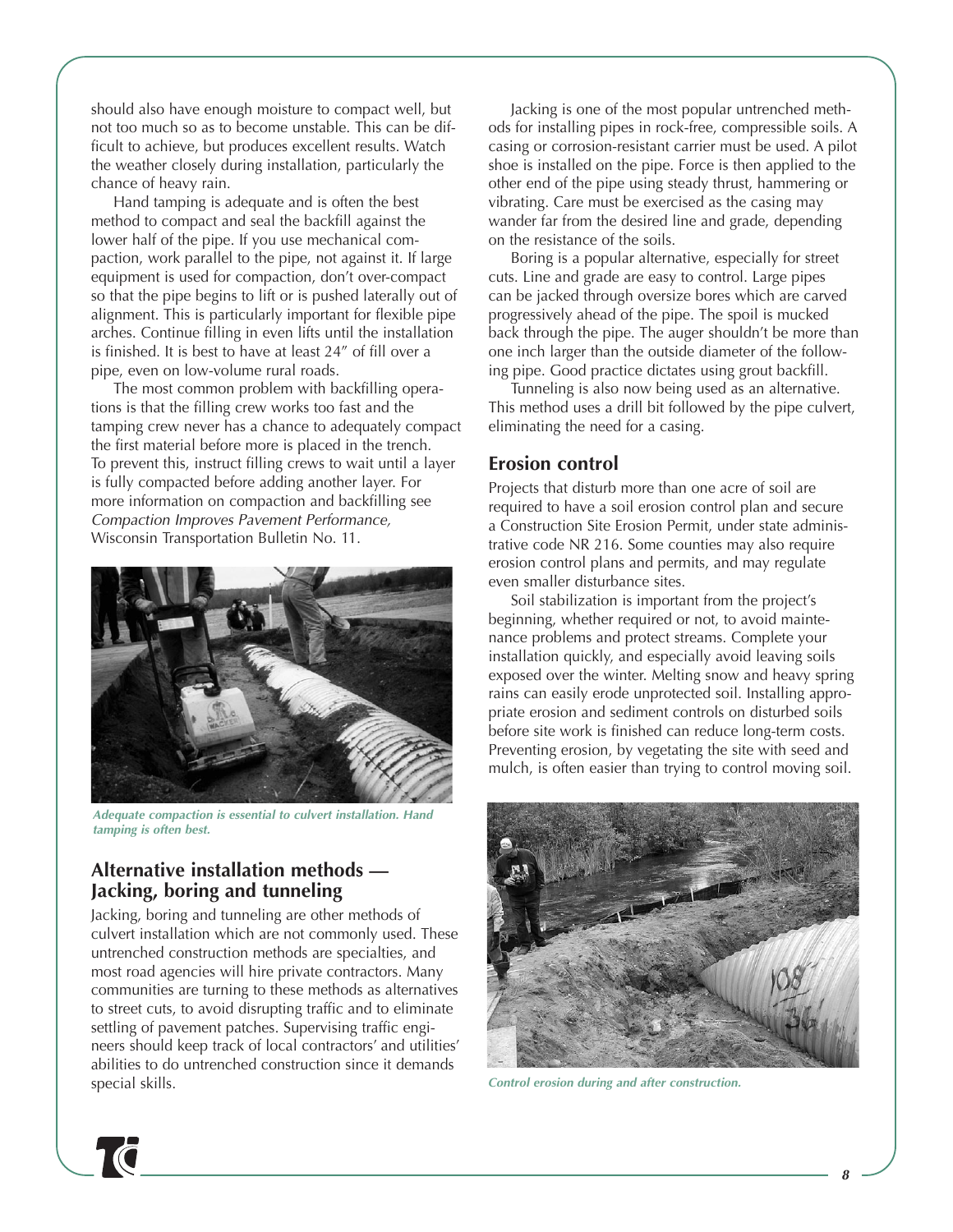should also have enough moisture to compact well, but not too much so as to become unstable. This can be difficult to achieve, but produces excellent results. Watch the weather closely during installation, particularly the chance of heavy rain.

Hand tamping is adequate and is often the best method to compact and seal the backfill against the lower half of the pipe. If you use mechanical compaction, work parallel to the pipe, not against it. If large equipment is used for compaction, don't over-compact so that the pipe begins to lift or is pushed laterally out of alignment. This is particularly important for flexible pipe arches. Continue filling in even lifts until the installation is finished. It is best to have at least 24" of fill over a pipe, even on low-volume rural roads.

The most common problem with backfilling operations is that the filling crew works too fast and the tamping crew never has a chance to adequately compact the first material before more is placed in the trench. To prevent this, instruct filling crews to wait until a layer is fully compacted before adding another layer. For more information on compaction and backfilling see *Compaction Improves Pavement Performance,* Wisconsin Transportation Bulletin No. 11.



*Adequate compaction is essential to culvert installation. Hand tamping is often best.*

### **Alternative installation methods — Jacking, boring and tunneling**

Jacking, boring and tunneling are other methods of culvert installation which are not commonly used. These untrenched construction methods are specialties, and most road agencies will hire private contractors. Many communities are turning to these methods as alternatives to street cuts, to avoid disrupting traffic and to eliminate settling of pavement patches. Supervising traffic engineers should keep track of local contractors' and utilities' abilities to do untrenched construction since it demands special skills.

Jacking is one of the most popular untrenched methods for installing pipes in rock-free, compressible soils. A casing or corrosion-resistant carrier must be used. A pilot shoe is installed on the pipe. Force is then applied to the other end of the pipe using steady thrust, hammering or vibrating. Care must be exercised as the casing may wander far from the desired line and grade, depending on the resistance of the soils.

Boring is a popular alternative, especially for street cuts. Line and grade are easy to control. Large pipes can be jacked through oversize bores which are carved progressively ahead of the pipe. The spoil is mucked back through the pipe. The auger shouldn't be more than one inch larger than the outside diameter of the following pipe. Good practice dictates using grout backfill.

Tunneling is also now being used as an alternative. This method uses a drill bit followed by the pipe culvert, eliminating the need for a casing.

#### **Erosion control**

Projects that disturb more than one acre of soil are required to have a soil erosion control plan and secure a Construction Site Erosion Permit, under state administrative code NR 216. Some counties may also require erosion control plans and permits, and may regulate even smaller disturbance sites.

Soil stabilization is important from the project's beginning, whether required or not, to avoid maintenance problems and protect streams. Complete your installation quickly, and especially avoid leaving soils exposed over the winter. Melting snow and heavy spring rains can easily erode unprotected soil. Installing appropriate erosion and sediment controls on disturbed soils before site work is finished can reduce long-term costs. Preventing erosion, by vegetating the site with seed and mulch, is often easier than trying to control moving soil.



*Control erosion during and after construction.*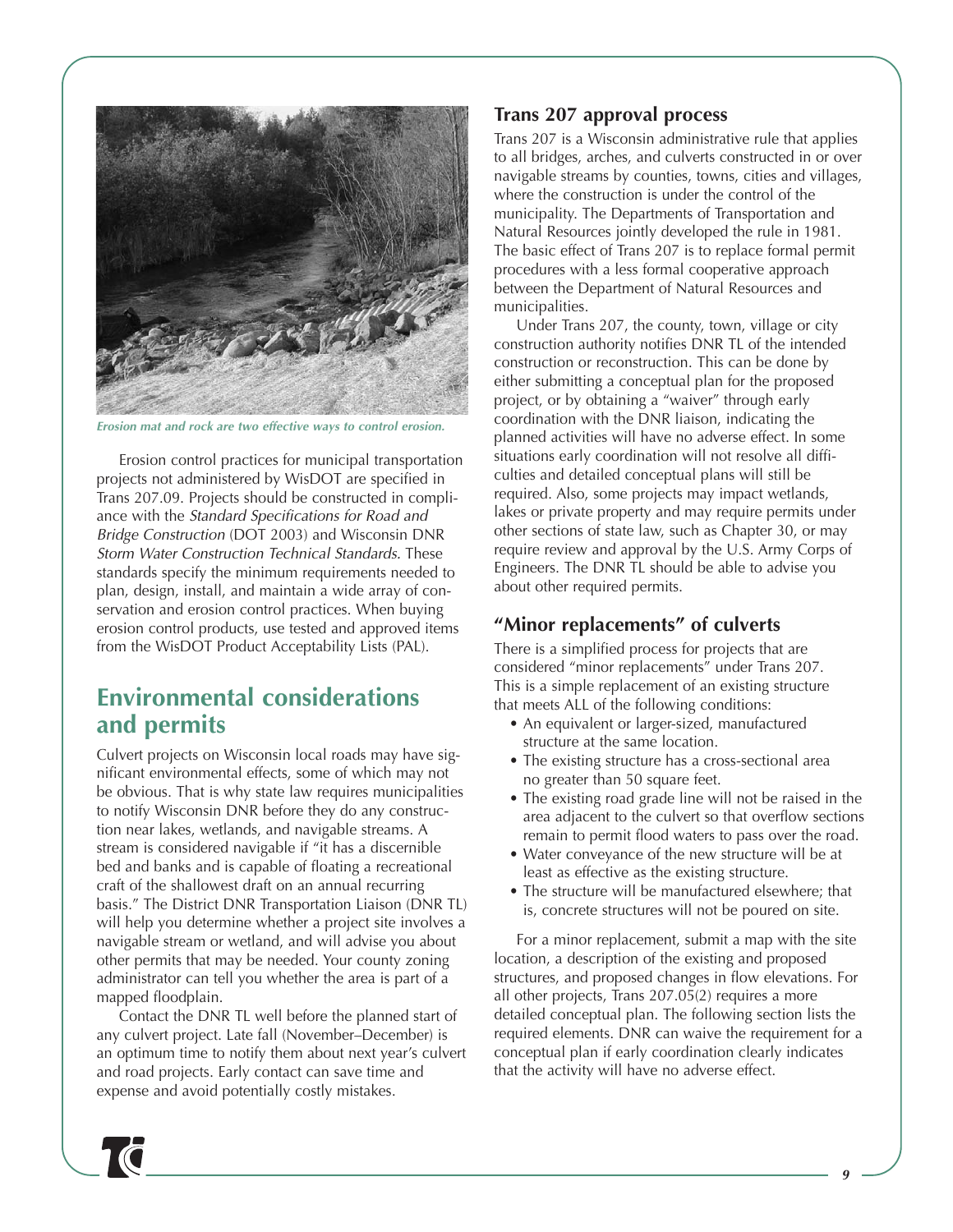

*Erosion mat and rock are two effective ways to control erosion.*

Erosion control practices for municipal transportation projects not administered by WisDOT are specified in Trans 207.09. Projects should be constructed in compliance with the *Standard Specifications for Road and Bridge Construction* (DOT 2003) and Wisconsin DNR *Storm Water Construction Technical Standards.* These standards specify the minimum requirements needed to plan, design, install, and maintain a wide array of conservation and erosion control practices. When buying erosion control products, use tested and approved items from the WisDOT Product Acceptability Lists (PAL).

# **Environmental considerations and permits**

Culvert projects on Wisconsin local roads may have significant environmental effects, some of which may not be obvious. That is why state law requires municipalities to notify Wisconsin DNR before they do any construction near lakes, wetlands, and navigable streams. A stream is considered navigable if "it has a discernible bed and banks and is capable of floating a recreational craft of the shallowest draft on an annual recurring basis." The District DNR Transportation Liaison (DNR TL) will help you determine whether a project site involves a navigable stream or wetland, and will advise you about other permits that may be needed. Your county zoning administrator can tell you whether the area is part of a mapped floodplain.

Contact the DNR TL well before the planned start of any culvert project. Late fall (November–December) is an optimum time to notify them about next year's culvert and road projects. Early contact can save time and expense and avoid potentially costly mistakes.

#### **Trans 207 approval process**

Trans 207 is a Wisconsin administrative rule that applies to all bridges, arches, and culverts constructed in or over navigable streams by counties, towns, cities and villages, where the construction is under the control of the municipality. The Departments of Transportation and Natural Resources jointly developed the rule in 1981. The basic effect of Trans 207 is to replace formal permit procedures with a less formal cooperative approach between the Department of Natural Resources and municipalities.

Under Trans 207, the county, town, village or city construction authority notifies DNR TL of the intended construction or reconstruction. This can be done by either submitting a conceptual plan for the proposed project, or by obtaining a "waiver" through early coordination with the DNR liaison, indicating the planned activities will have no adverse effect. In some situations early coordination will not resolve all difficulties and detailed conceptual plans will still be required. Also, some projects may impact wetlands, lakes or private property and may require permits under other sections of state law, such as Chapter 30, or may require review and approval by the U.S. Army Corps of Engineers. The DNR TL should be able to advise you about other required permits.

### **"Minor replacements" of culverts**

There is a simplified process for projects that are considered "minor replacements" under Trans 207. This is a simple replacement of an existing structure that meets ALL of the following conditions:

- An equivalent or larger-sized, manufactured structure at the same location.
- The existing structure has a cross-sectional area no greater than 50 square feet.
- The existing road grade line will not be raised in the area adjacent to the culvert so that overflow sections remain to permit flood waters to pass over the road.
- Water conveyance of the new structure will be at least as effective as the existing structure.
- The structure will be manufactured elsewhere; that is, concrete structures will not be poured on site.

For a minor replacement, submit a map with the site location, a description of the existing and proposed structures, and proposed changes in flow elevations. For all other projects, Trans 207.05(2) requires a more detailed conceptual plan. The following section lists the required elements. DNR can waive the requirement for a conceptual plan if early coordination clearly indicates that the activity will have no adverse effect.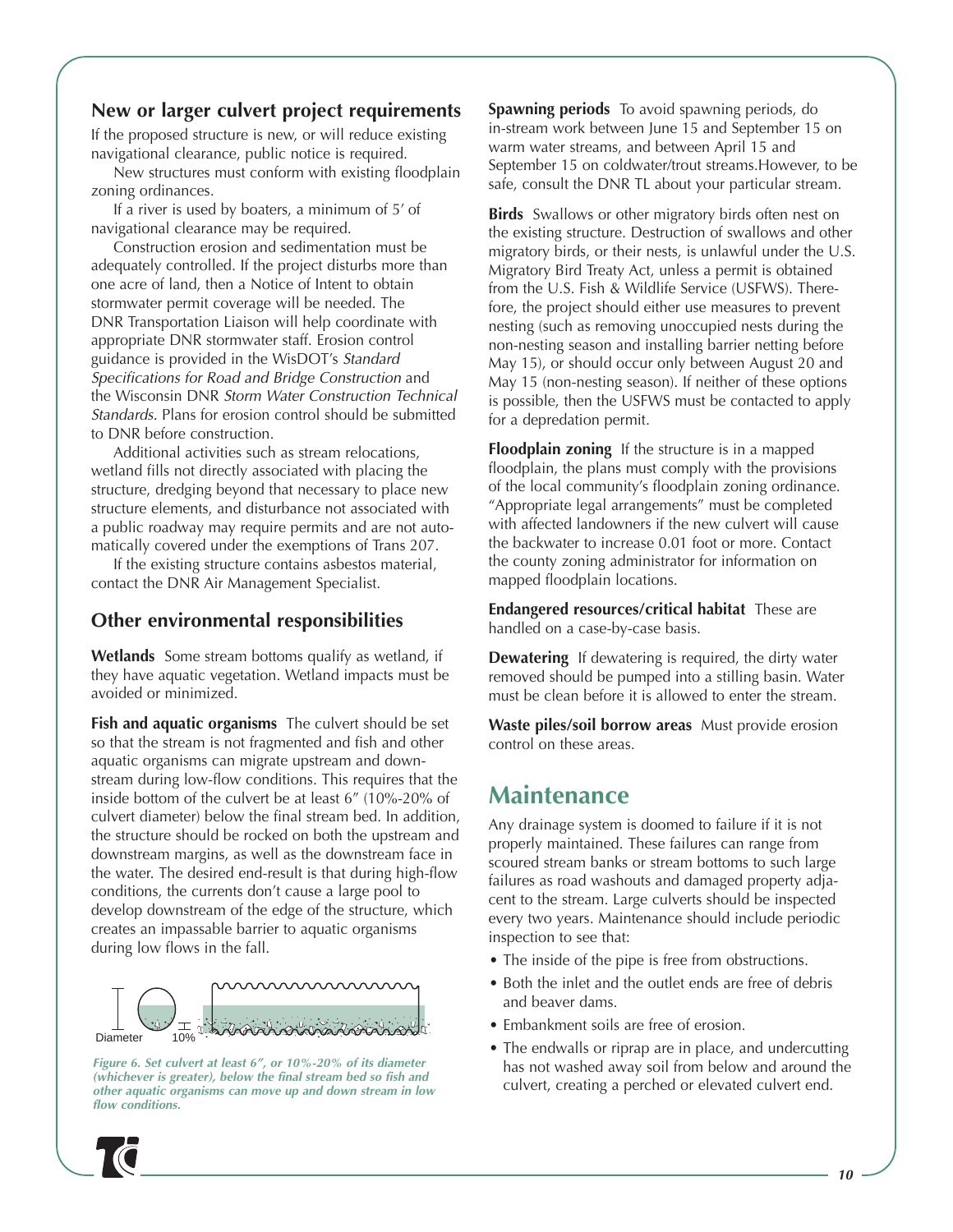### **New or larger culvert project requirements**

If the proposed structure is new, or will reduce existing navigational clearance, public notice is required.

New structures must conform with existing floodplain zoning ordinances.

If a river is used by boaters, a minimum of 5' of navigational clearance may be required.

Construction erosion and sedimentation must be adequately controlled. If the project disturbs more than one acre of land, then a Notice of Intent to obtain stormwater permit coverage will be needed. The DNR Transportation Liaison will help coordinate with appropriate DNR stormwater staff. Erosion control guidance is provided in the WisDOT's *Standard Specifications for Road and Bridge Construction* and the Wisconsin DNR *Storm Water Construction Technical Standards.* Plans for erosion control should be submitted to DNR before construction.

Additional activities such as stream relocations, wetland fills not directly associated with placing the structure, dredging beyond that necessary to place new structure elements, and disturbance not associated with a public roadway may require permits and are not automatically covered under the exemptions of Trans 207.

If the existing structure contains asbestos material, contact the DNR Air Management Specialist.

### **Other environmental responsibilities**

**Wetlands** Some stream bottoms qualify as wetland, if they have aquatic vegetation. Wetland impacts must be avoided or minimized.

**Fish and aquatic organisms** The culvert should be set so that the stream is not fragmented and fish and other aquatic organisms can migrate upstream and downstream during low-flow conditions. This requires that the inside bottom of the culvert be at least 6" (10%-20% of culvert diameter) below the final stream bed. In addition, the structure should be rocked on both the upstream and downstream margins, as well as the downstream face in the water. The desired end-result is that during high-flow conditions, the currents don't cause a large pool to develop downstream of the edge of the structure, which creates an impassable barrier to aquatic organisms during low flows in the fall.



*Figure 6. Set culvert at least 6", or 10%-20% of its diameter (whichever is greater), below the final stream bed so fish and other aquatic organisms can move up and down stream in low flow conditions.*

**Spawning periods** To avoid spawning periods, do in-stream work between June 15 and September 15 on warm water streams, and between April 15 and September 15 on coldwater/trout streams.However, to be safe, consult the DNR TL about your particular stream.

**Birds** Swallows or other migratory birds often nest on the existing structure. Destruction of swallows and other migratory birds, or their nests, is unlawful under the U.S. Migratory Bird Treaty Act, unless a permit is obtained from the U.S. Fish & Wildlife Service (USFWS). Therefore, the project should either use measures to prevent nesting (such as removing unoccupied nests during the non-nesting season and installing barrier netting before May 15), or should occur only between August 20 and May 15 (non-nesting season). If neither of these options is possible, then the USFWS must be contacted to apply for a depredation permit.

**Floodplain zoning** If the structure is in a mapped floodplain, the plans must comply with the provisions of the local community's floodplain zoning ordinance. "Appropriate legal arrangements" must be completed with affected landowners if the new culvert will cause the backwater to increase 0.01 foot or more. Contact the county zoning administrator for information on mapped floodplain locations.

**Endangered resources/critical habitat** These are handled on a case-by-case basis.

**Dewatering** If dewatering is required, the dirty water removed should be pumped into a stilling basin. Water must be clean before it is allowed to enter the stream.

**Waste piles/soil borrow areas** Must provide erosion control on these areas.

# **Maintenance**

Any drainage system is doomed to failure if it is not properly maintained. These failures can range from scoured stream banks or stream bottoms to such large failures as road washouts and damaged property adjacent to the stream. Large culverts should be inspected every two years. Maintenance should include periodic inspection to see that:

- The inside of the pipe is free from obstructions.
- Both the inlet and the outlet ends are free of debris and beaver dams.
- Embankment soils are free of erosion.
- The endwalls or riprap are in place, and undercutting has not washed away soil from below and around the culvert, creating a perched or elevated culvert end.

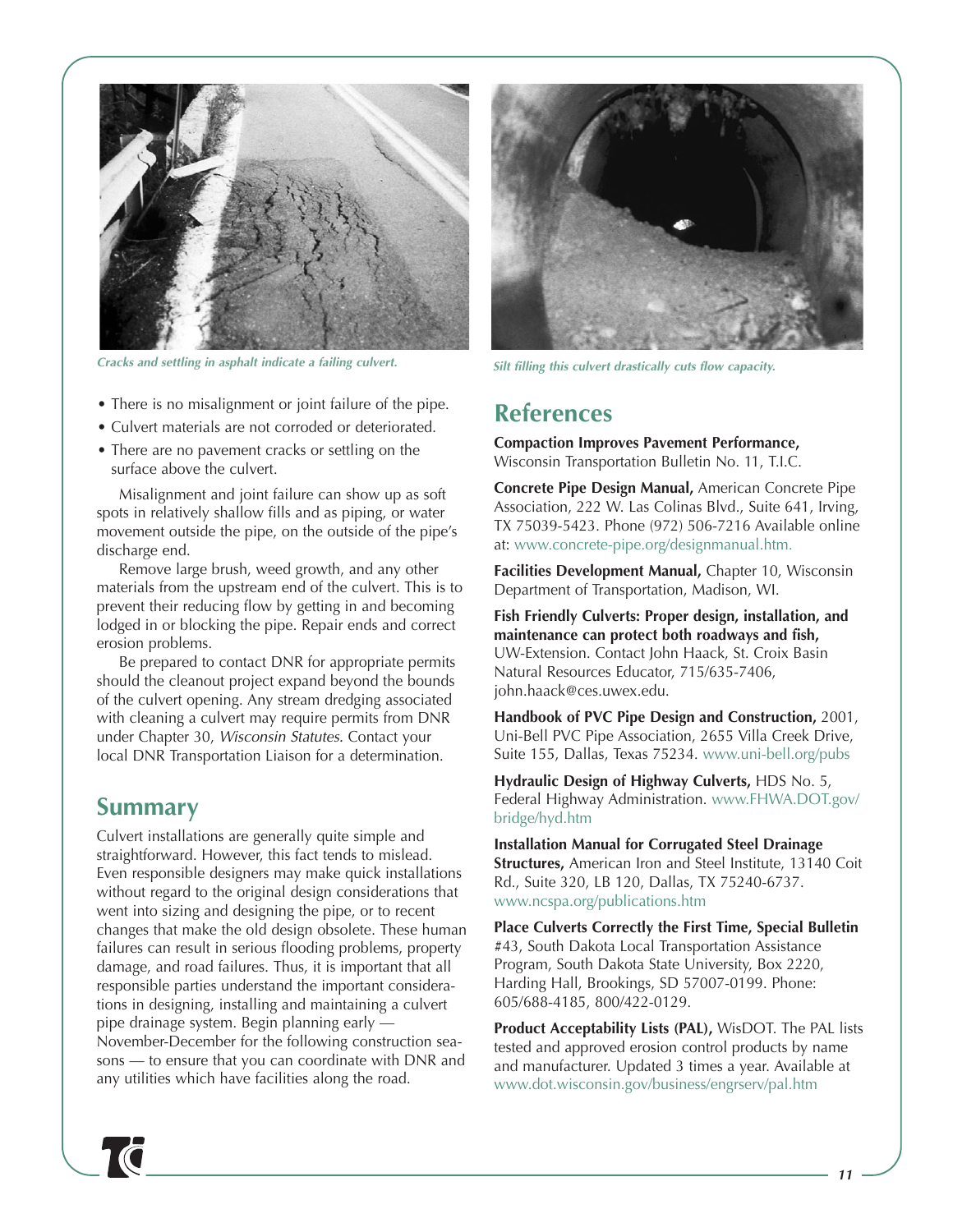

*Silt filling this culvert drastically cuts flow capacity. Cracks and settling in asphalt indicate a failing culvert.* 

- There is no misalignment or joint failure of the pipe.
- Culvert materials are not corroded or deteriorated.
- There are no pavement cracks or settling on the surface above the culvert.

Misalignment and joint failure can show up as soft spots in relatively shallow fills and as piping, or water movement outside the pipe, on the outside of the pipe's discharge end.

Remove large brush, weed growth, and any other materials from the upstream end of the culvert. This is to prevent their reducing flow by getting in and becoming lodged in or blocking the pipe. Repair ends and correct erosion problems.

Be prepared to contact DNR for appropriate permits should the cleanout project expand beyond the bounds of the culvert opening. Any stream dredging associated with cleaning a culvert may require permits from DNR under Chapter 30, *Wisconsin Statutes.* Contact your local DNR Transportation Liaison for a determination.

# **Summary**

Culvert installations are generally quite simple and straightforward. However, this fact tends to mislead. Even responsible designers may make quick installations without regard to the original design considerations that went into sizing and designing the pipe, or to recent changes that make the old design obsolete. These human failures can result in serious flooding problems, property damage, and road failures. Thus, it is important that all responsible parties understand the important considerations in designing, installing and maintaining a culvert pipe drainage system. Begin planning early — November-December for the following construction seasons — to ensure that you can coordinate with DNR and any utilities which have facilities along the road.



# **References**

**Compaction Improves Pavement Performance,** Wisconsin Transportation Bulletin No. 11, T.I.C.

**Concrete Pipe Design Manual,** American Concrete Pipe Association, 222 W. Las Colinas Blvd., Suite 641, Irving, TX 75039-5423. Phone (972) 506-7216 Available online at: [www.concrete-pipe.org/designmanual.htm.](http://www.concrete-pipe.org/designmanual.htm)

**Facilities Development Manual,** Chapter 10, Wisconsin Department of Transportation, Madison, WI.

**Fish Friendly Culverts: Proper design, installation, and maintenance can protect both roadways and fish,** UW-Extension. Contact John Haack, St. Croix Basin Natural Resources Educator, 715/635-7406, john.haack@ces.uwex.edu.

**Handbook of PVC Pipe Design and Construction,** 2001, Uni-Bell PVC Pipe Association, 2655 Villa Creek Drive, Suite 155, Dallas, Texas 75234[. www.uni-bell.org/pubs](http://www.uni-bell.org/pubs)

**Hydraulic Design of Highway Culverts,** HDS No. 5, [Federal Highway Administration. www.FHWA.DOT.gov/](http://www.FHWA.DOT.gov/bridge/hyd.htm) bridge/hyd.htm

**Installation Manual for Corrugated Steel Drainage Structures,** American Iron and Steel Institute, 13140 Coit Rd., Suite 320, LB 120, Dallas, TX 75240-6737. [www.ncspa.org/publications.htm](http://www.ncspa.org/publications.htm)

**Place Culverts Correctly the First Time, Special Bulletin** #43, South Dakota Local Transportation Assistance Program, South Dakota State University, Box 2220, Harding Hall, Brookings, SD 57007-0199. Phone: 605/688-4185, 800/422-0129.

**Product Acceptability Lists (PAL),** WisDOT. The PAL lists tested and approved erosion control products by name and manufacturer. Updated 3 times a year. Available at [www.dot.wisconsin.gov/business/engrserv/pal.htm](http://www.dot.wisconsin.gov/business/engrserv/pal.htm)